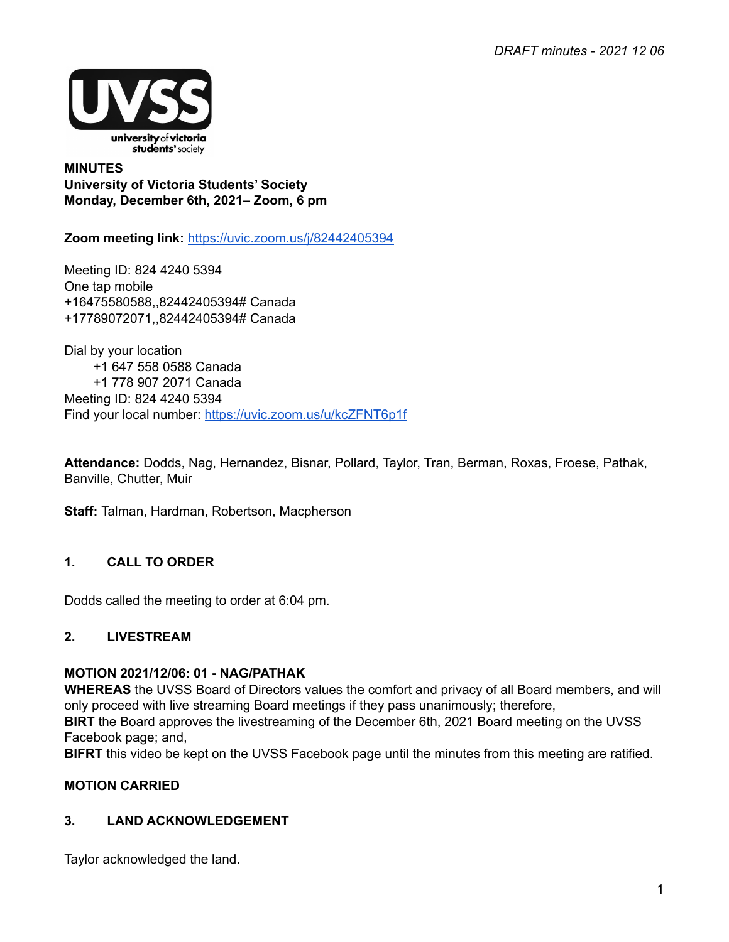

**MINUTES University of Victoria Students' Society Monday, December 6th, 2021– Zoom, 6 pm**

**Zoom meeting link:** <https://uvic.zoom.us/j/82442405394>

Meeting ID: 824 4240 5394 One tap mobile +16475580588,,82442405394# Canada +17789072071,,82442405394# Canada

Dial by your location +1 647 558 0588 Canada +1 778 907 2071 Canada Meeting ID: 824 4240 5394 Find your local number: <https://uvic.zoom.us/u/kcZFNT6p1f>

**Attendance:** Dodds, Nag, Hernandez, Bisnar, Pollard, Taylor, Tran, Berman, Roxas, Froese, Pathak, Banville, Chutter, Muir

**Staff:** Talman, Hardman, Robertson, Macpherson

## **1. CALL TO ORDER**

Dodds called the meeting to order at 6:04 pm.

## **2. LIVESTREAM**

#### **MOTION 2021/12/06: 01 - NAG/PATHAK**

**WHEREAS** the UVSS Board of Directors values the comfort and privacy of all Board members, and will only proceed with live streaming Board meetings if they pass unanimously; therefore,

**BIRT** the Board approves the livestreaming of the December 6th, 2021 Board meeting on the UVSS Facebook page; and,

**BIFRT** this video be kept on the UVSS Facebook page until the minutes from this meeting are ratified.

## **MOTION CARRIED**

## **3. LAND ACKNOWLEDGEMENT**

Taylor acknowledged the land.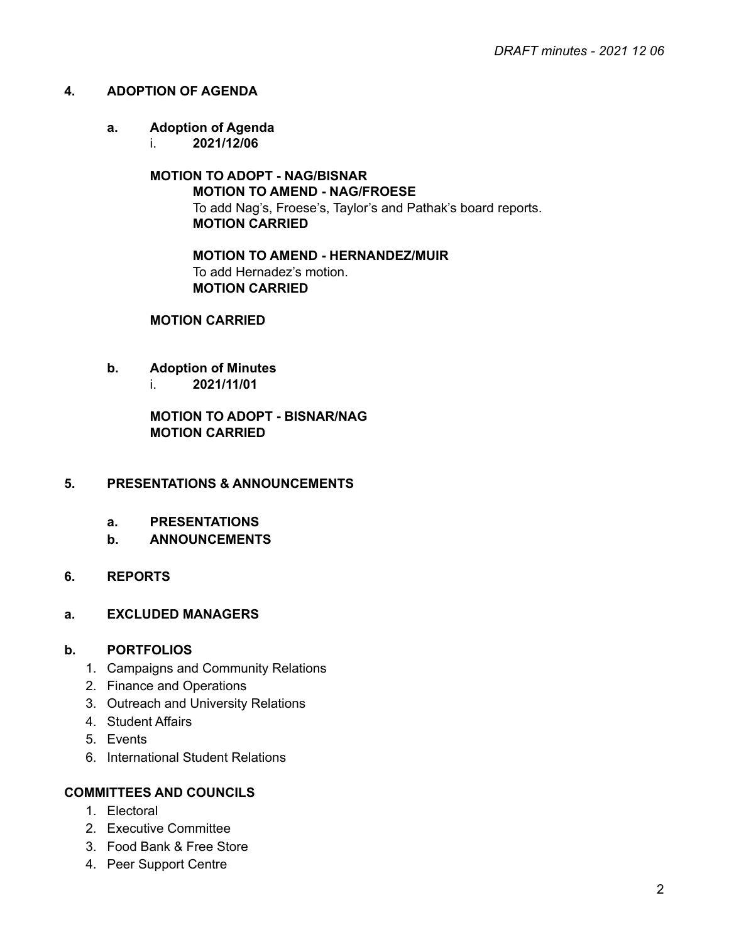### **4. ADOPTION OF AGENDA**

# **a. Adoption of Agenda**

i. **2021/12/06**

## **MOTION TO ADOPT - NAG/BISNAR MOTION TO AMEND - NAG/FROESE** To add Nag's, Froese's, Taylor's and Pathak's board reports. **MOTION CARRIED**

**MOTION TO AMEND - HERNANDEZ/MUIR** To add Hernadez's motion. **MOTION CARRIED**

### **MOTION CARRIED**

- **b. Adoption of Minutes**
	- i. **2021/11/01**

**MOTION TO ADOPT - BISNAR/NAG MOTION CARRIED**

#### **5. PRESENTATIONS & ANNOUNCEMENTS**

- **a. PRESENTATIONS**
- **b. ANNOUNCEMENTS**

## **6. REPORTS**

#### **a. EXCLUDED MANAGERS**

#### **b. PORTFOLIOS**

- 1. Campaigns and Community Relations
- 2. Finance and Operations
- 3. Outreach and University Relations
- 4. Student Affairs
- 5. Events
- 6. International Student Relations

#### **COMMITTEES AND COUNCILS**

- 1. Electoral
- 2. Executive Committee
- 3. Food Bank & Free Store
- 4. Peer Support Centre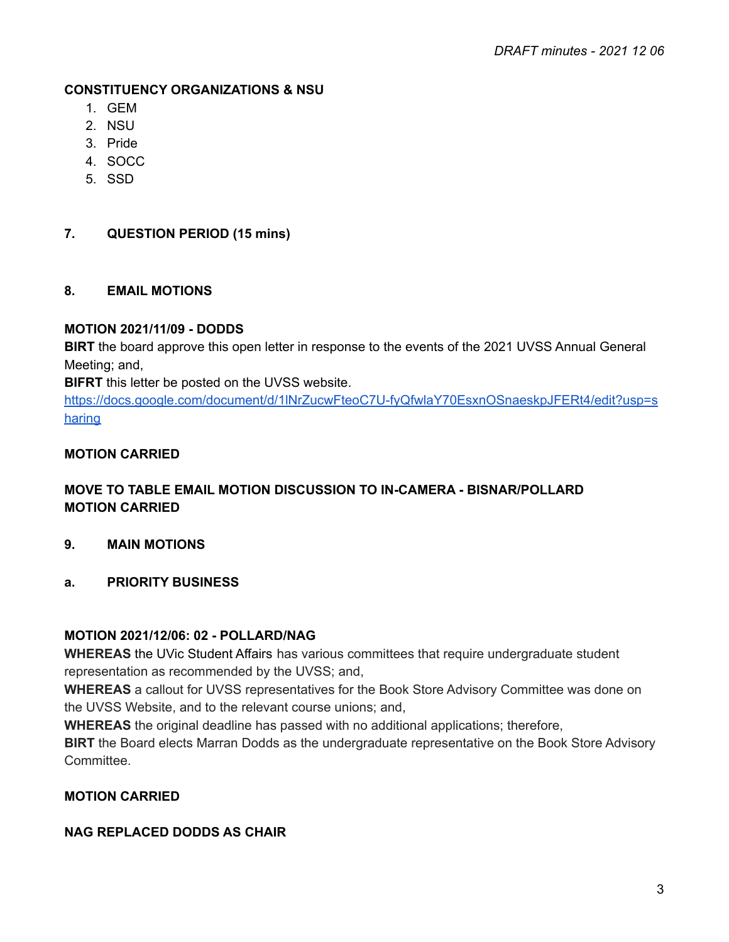### **CONSTITUENCY ORGANIZATIONS & NSU**

- 1. GEM
- 2. NSU
- 3. Pride
- 4. SOCC
- 5. SSD

### **7. QUESTION PERIOD (15 mins)**

#### **8. EMAIL MOTIONS**

#### **MOTION 2021/11/09 - DODDS**

**BIRT** the board approve this open letter in response to the events of the 2021 UVSS Annual General Meeting; and,

**BIFRT** this letter be posted on the UVSS website.

[https://docs.google.com/document/d/1lNrZucwFteoC7U-fyQfwlaY70EsxnOSnaeskpJFERt4/edit?usp=s](https://docs.google.com/document/d/1lNrZucwFteoC7U-fyQfwlaY70EsxnOSnaeskpJFERt4/edit?usp=sharing) [haring](https://docs.google.com/document/d/1lNrZucwFteoC7U-fyQfwlaY70EsxnOSnaeskpJFERt4/edit?usp=sharing)

### **MOTION CARRIED**

## **MOVE TO TABLE EMAIL MOTION DISCUSSION TO IN-CAMERA - BISNAR/POLLARD MOTION CARRIED**

- **9. MAIN MOTIONS**
- **a. PRIORITY BUSINESS**

#### **MOTION 2021/12/06: 02 - POLLARD/NAG**

**WHEREAS** the UVic Student Affairs has various committees that require undergraduate student representation as recommended by the UVSS; and,

**WHEREAS** a callout for UVSS representatives for the Book Store Advisory Committee was done on the UVSS Website, and to the relevant course unions; and,

**WHEREAS** the original deadline has passed with no additional applications; therefore,

**BIRT** the Board elects Marran Dodds as the undergraduate representative on the Book Store Advisory Committee.

## **MOTION CARRIED**

#### **NAG REPLACED DODDS AS CHAIR**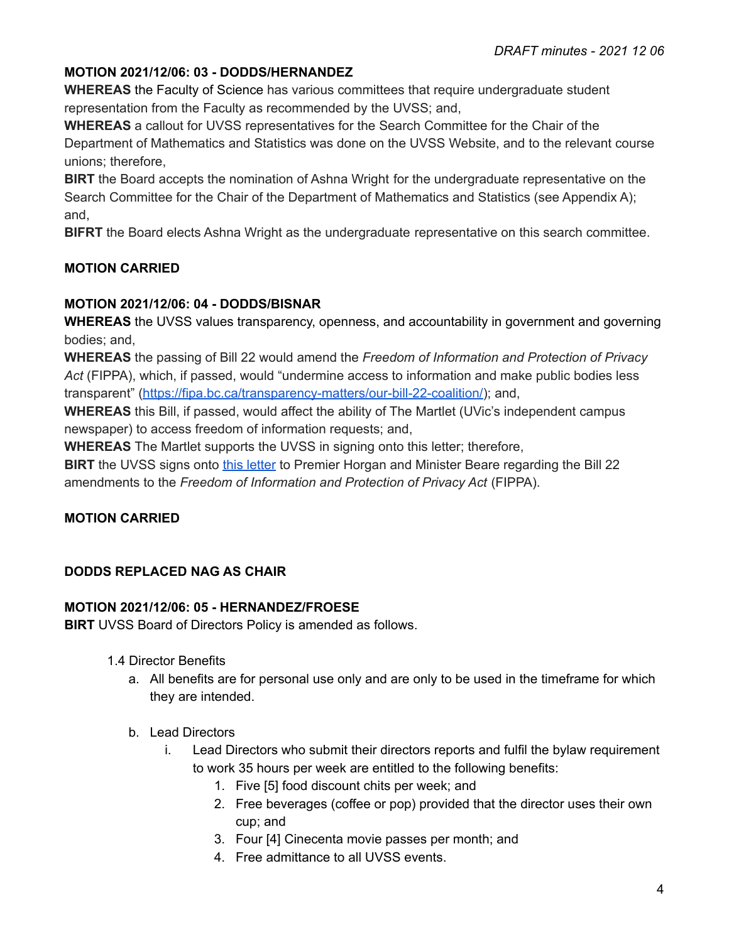# **MOTION 2021/12/06: 03 - DODDS/HERNANDEZ**

**WHEREAS** the Faculty of Science has various committees that require undergraduate student representation from the Faculty as recommended by the UVSS; and,

**WHEREAS** a callout for UVSS representatives for the Search Committee for the Chair of the Department of Mathematics and Statistics was done on the UVSS Website, and to the relevant course unions; therefore,

**BIRT** the Board accepts the nomination of Ashna Wright for the undergraduate representative on the Search Committee for the Chair of the Department of Mathematics and Statistics (see Appendix A); and,

**BIFRT** the Board elects Ashna Wright as the undergraduate representative on this search committee.

## **MOTION CARRIED**

## **MOTION 2021/12/06: 04 - DODDS/BISNAR**

**WHEREAS** the UVSS values transparency, openness, and accountability in government and governing bodies; and,

**WHEREAS** the passing of Bill 22 would amend the *Freedom of Information and Protection of Privacy Act* (FIPPA), which, if passed, would "undermine access to information and make public bodies less transparent" ([https://fipa.bc.ca/transparency-matters/our-bill-22-coalition/\)](https://fipa.bc.ca/transparency-matters/our-bill-22-coalition/); and,

**WHEREAS** this Bill, if passed, would affect the ability of The Martlet (UVic's independent campus newspaper) to access freedom of information requests; and,

**WHEREAS** The Martlet supports the UVSS in signing onto this letter; therefore,

**BIRT** the UVSS signs onto this [letter](https://fipa.bc.ca/transparency-matters/our-bill-22-coalition/) to Premier Horgan and Minister Beare regarding the Bill 22 amendments to the *Freedom of Information and Protection of Privacy Act* (FIPPA).

## **MOTION CARRIED**

## **DODDS REPLACED NAG AS CHAIR**

## **MOTION 2021/12/06: 05 - HERNANDEZ/FROESE**

**BIRT** UVSS Board of Directors Policy is amended as follows.

- 1.4 Director Benefits
	- a. All benefits are for personal use only and are only to be used in the timeframe for which they are intended.
	- b. Lead Directors
		- i. Lead Directors who submit their directors reports and fulfil the bylaw requirement to work 35 hours per week are entitled to the following benefits:
			- 1. Five [5] food discount chits per week; and
			- 2. Free beverages (coffee or pop) provided that the director uses their own cup; and
			- 3. Four [4] Cinecenta movie passes per month; and
			- 4. Free admittance to all UVSS events.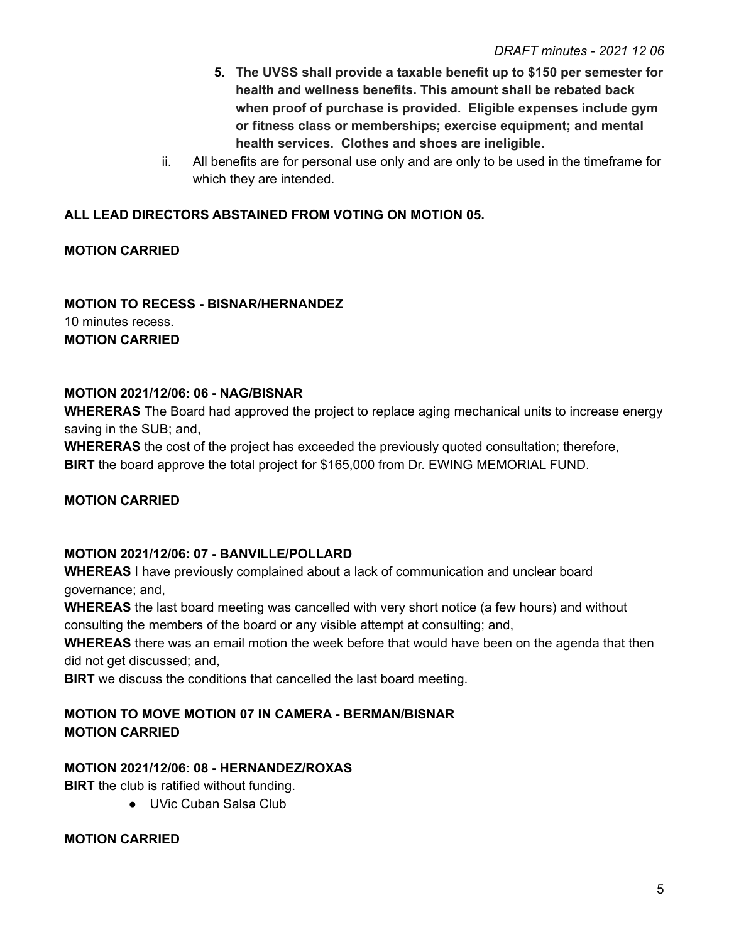- **5. The UVSS shall provide a taxable benefit up to \$150 per semester for health and wellness benefits. This amount shall be rebated back when proof of purchase is provided. Eligible expenses include gym or fitness class or memberships; exercise equipment; and mental health services. Clothes and shoes are ineligible.**
- ii. All benefits are for personal use only and are only to be used in the timeframe for which they are intended.

## **ALL LEAD DIRECTORS ABSTAINED FROM VOTING ON MOTION 05.**

## **MOTION CARRIED**

### **MOTION TO RECESS - BISNAR/HERNANDEZ** 10 minutes recess. **MOTION CARRIED**

## **MOTION 2021/12/06: 06 - NAG/BISNAR**

**WHERERAS** The Board had approved the project to replace aging mechanical units to increase energy saving in the SUB; and,

**WHERERAS** the cost of the project has exceeded the previously quoted consultation; therefore, **BIRT** the board approve the total project for \$165,000 from Dr. EWING MEMORIAL FUND.

## **MOTION CARRIED**

## **MOTION 2021/12/06: 07 - BANVILLE/POLLARD**

**WHEREAS** I have previously complained about a lack of communication and unclear board governance; and,

**WHEREAS** the last board meeting was cancelled with very short notice (a few hours) and without consulting the members of the board or any visible attempt at consulting; and,

**WHEREAS** there was an email motion the week before that would have been on the agenda that then did not get discussed; and,

**BIRT** we discuss the conditions that cancelled the last board meeting.

## **MOTION TO MOVE MOTION 07 IN CAMERA - BERMAN/BISNAR MOTION CARRIED**

## **MOTION 2021/12/06: 08 - HERNANDEZ/ROXAS**

**BIRT** the club is ratified without funding.

● UVic Cuban Salsa Club

#### **MOTION CARRIED**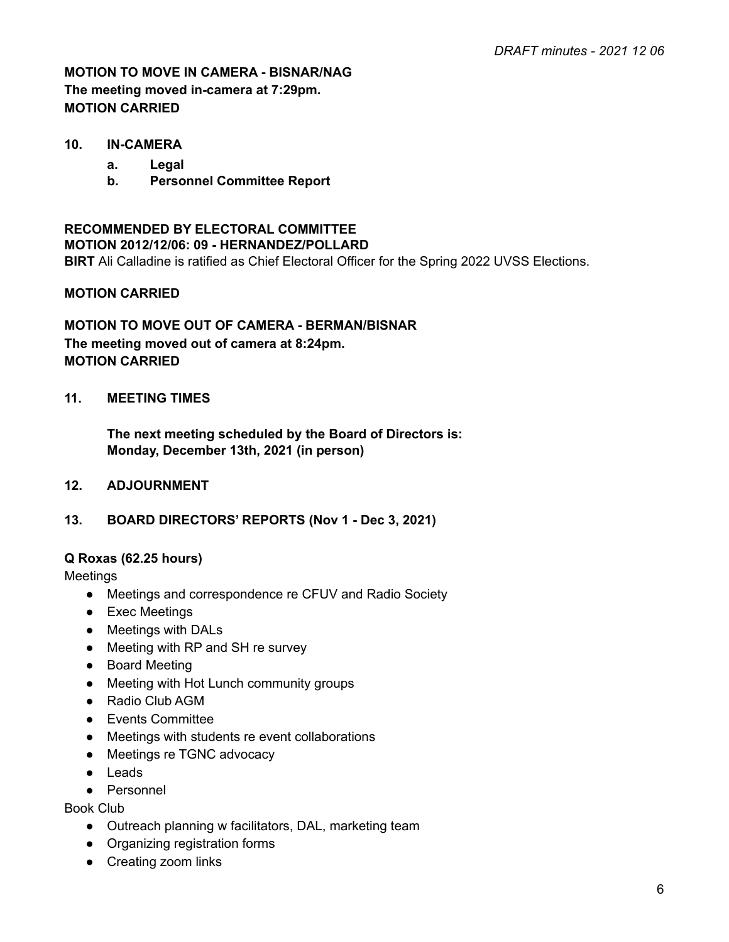# **MOTION TO MOVE IN CAMERA - BISNAR/NAG The meeting moved in-camera at 7:29pm. MOTION CARRIED**

#### **10. IN-CAMERA**

- **a. Legal**
- **b. Personnel Committee Report**

# **RECOMMENDED BY ELECTORAL COMMITTEE MOTION 2012/12/06: 09 - HERNANDEZ/POLLARD BIRT** Ali Calladine is ratified as Chief Electoral Officer for the Spring 2022 UVSS Elections.

### **MOTION CARRIED**

## **MOTION TO MOVE OUT OF CAMERA - BERMAN/BISNAR The meeting moved out of camera at 8:24pm. MOTION CARRIED**

## **11. MEETING TIMES**

**The next meeting scheduled by the Board of Directors is: Monday, December 13th, 2021 (in person)**

#### **12. ADJOURNMENT**

#### **13. BOARD DIRECTORS' REPORTS (Nov 1 - Dec 3, 2021)**

#### **Q Roxas (62.25 hours)**

Meetings

- Meetings and correspondence re CFUV and Radio Society
- Exec Meetings
- Meetings with DALs
- Meeting with RP and SH re survey
- Board Meeting
- Meeting with Hot Lunch community groups
- Radio Club AGM
- Events Committee
- Meetings with students re event collaborations
- Meetings re TGNC advocacy
- Leads
- Personnel

Book Club

- Outreach planning w facilitators, DAL, marketing team
- Organizing registration forms
- Creating zoom links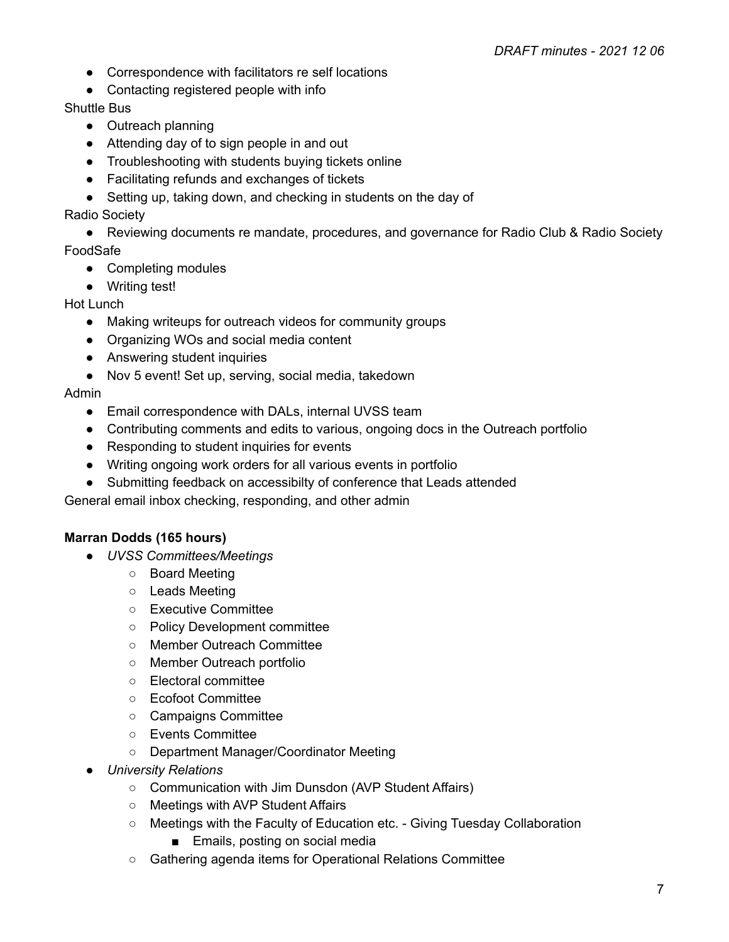- Correspondence with facilitators re self locations
- Contacting registered people with info

## Shuttle Bus

- Outreach planning
- Attending day of to sign people in and out
- Troubleshooting with students buying tickets online
- Facilitating refunds and exchanges of tickets
- Setting up, taking down, and checking in students on the day of

## Radio Society

● Reviewing documents re mandate, procedures, and governance for Radio Club & Radio Society FoodSafe

- Completing modules
- Writing test!

## Hot Lunch

- Making writeups for outreach videos for community groups
- Organizing WOs and social media content
- Answering student inquiries
- Nov 5 event! Set up, serving, social media, takedown

## Admin

- Email correspondence with DALs, internal UVSS team
- Contributing comments and edits to various, ongoing docs in the Outreach portfolio
- Responding to student inquiries for events
- Writing ongoing work orders for all various events in portfolio
- Submitting feedback on accessibilty of conference that Leads attended

General email inbox checking, responding, and other admin

# **Marran Dodds (165 hours)**

- *● UVSS Committees/Meetings*
	- Board Meeting
	- Leads Meeting
	- Executive Committee
	- Policy Development committee
	- Member Outreach Committee
	- Member Outreach portfolio
	- Electoral committee
	- Ecofoot Committee
	- Campaigns Committee
	- Events Committee
	- Department Manager/Coordinator Meeting
- *● University Relations*
	- Communication with Jim Dunsdon (AVP Student Affairs)
	- Meetings with AVP Student Affairs
	- Meetings with the Faculty of Education etc. Giving Tuesday Collaboration
		- Emails, posting on social media
	- Gathering agenda items for Operational Relations Committee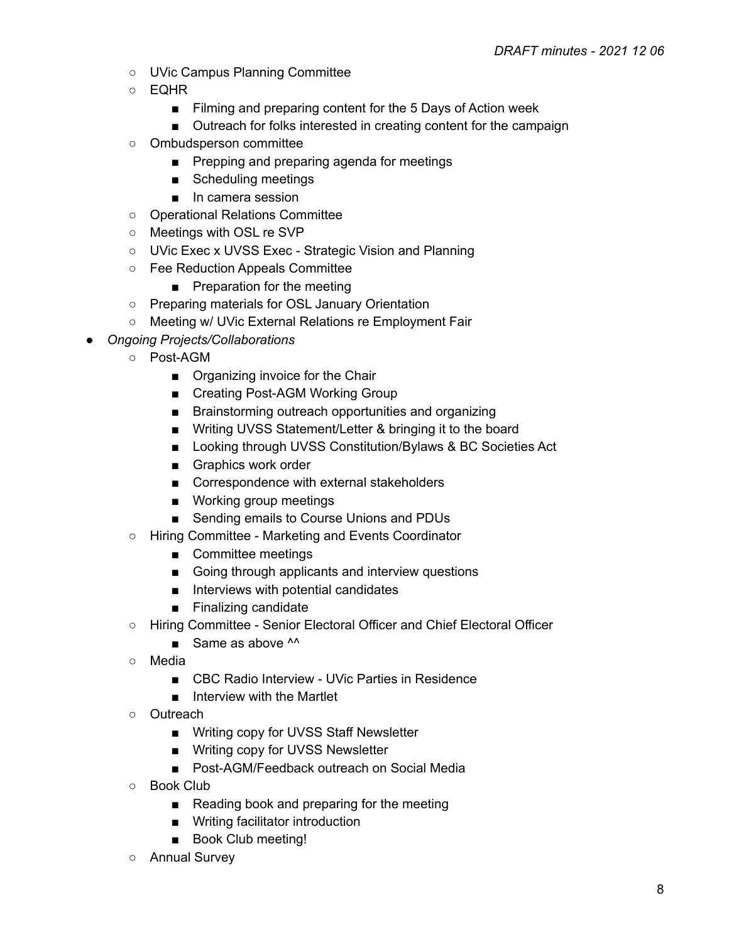- UVic Campus Planning Committee
- EQHR
	- Filming and preparing content for the 5 Days of Action week
	- Outreach for folks interested in creating content for the campaign
- Ombudsperson committee
	- Prepping and preparing agenda for meetings
	- Scheduling meetings
	- In camera session
- Operational Relations Committee
- Meetings with OSL re SVP
- UVic Exec x UVSS Exec Strategic Vision and Planning
- Fee Reduction Appeals Committee
	- Preparation for the meeting
- Preparing materials for OSL January Orientation
- Meeting w/ UVic External Relations re Employment Fair
- *● Ongoing Projects/Collaborations*
	- Post-AGM
		- Organizing invoice for the Chair
		- Creating Post-AGM Working Group
		- Brainstorming outreach opportunities and organizing
		- Writing UVSS Statement/Letter & bringing it to the board
		- Looking through UVSS Constitution/Bylaws & BC Societies Act
		- Graphics work order
		- Correspondence with external stakeholders
		- Working group meetings
		- Sending emails to Course Unions and PDUs
	- Hiring Committee Marketing and Events Coordinator
		- Committee meetings
		- Going through applicants and interview questions
		- Interviews with potential candidates
		- Finalizing candidate
	- Hiring Committee Senior Electoral Officer and Chief Electoral Officer
		- $\blacksquare$  Same as above  $\lambda \lambda$
	- Media
		- CBC Radio Interview UVic Parties in Residence
		- Interview with the Martlet
	- Outreach
		- Writing copy for UVSS Staff Newsletter
		- Writing copy for UVSS Newsletter
		- Post-AGM/Feedback outreach on Social Media
	- Book Club
		- Reading book and preparing for the meeting
		- Writing facilitator introduction
		- Book Club meeting!
	- Annual Survey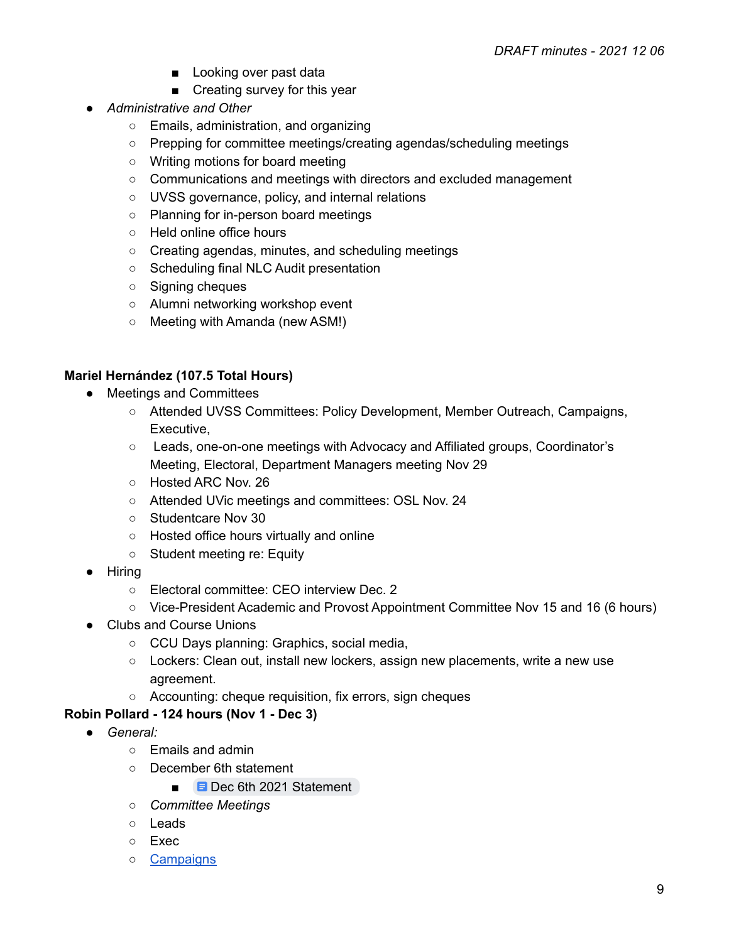- Looking over past data
- Creating survey for this year
- *● Administrative and Other*
	- Emails, administration, and organizing
	- Prepping for committee meetings/creating agendas/scheduling meetings
	- Writing motions for board meeting
	- Communications and meetings with directors and excluded management
	- UVSS governance, policy, and internal relations
	- Planning for in-person board meetings
	- Held online office hours
	- Creating agendas, minutes, and scheduling meetings
	- Scheduling final NLC Audit presentation
	- Signing cheques
	- Alumni networking workshop event
	- Meeting with Amanda (new ASM!)

## **Mariel Hernández (107.5 Total Hours)**

- Meetings and Committees
	- Attended UVSS Committees: Policy Development, Member Outreach, Campaigns, Executive,
	- Leads, one-on-one meetings with Advocacy and Affiliated groups, Coordinator's Meeting, Electoral, Department Managers meeting Nov 29
	- Hosted ARC Nov. 26
	- Attended UVic meetings and committees: OSL Nov. 24
	- Studentcare Nov 30
	- Hosted office hours virtually and online
	- Student meeting re: Equity
- Hiring
	- Electoral committee: CEO interview Dec. 2
	- Vice-President Academic and Provost Appointment Committee Nov 15 and 16 (6 hours)
- Clubs and Course Unions
	- CCU Days planning: Graphics, social media,
	- Lockers: Clean out, install new lockers, assign new placements, write a new use agreement.
	- Accounting: cheque requisition, fix errors, sign cheques

# **Robin Pollard - 124 hours (Nov 1 - Dec 3)**

- *● General:*
	- Emails and admin
	- December 6th statement
		- **■** Dec 6th 2021 [Statement](https://docs.google.com/document/d/1NHlchPMmpqgiwKxSzD2o4MOpheW9ccBNM_mcwiKZY0c/edit)
	- *○ Committee Meetings*
	- Leads
	- Exec
	- [Campaigns](https://docs.google.com/document/d/1MLvoO0tU-CnqB1GTGh6z0YlbGRknliy7f4gsui7-UJU/edit#)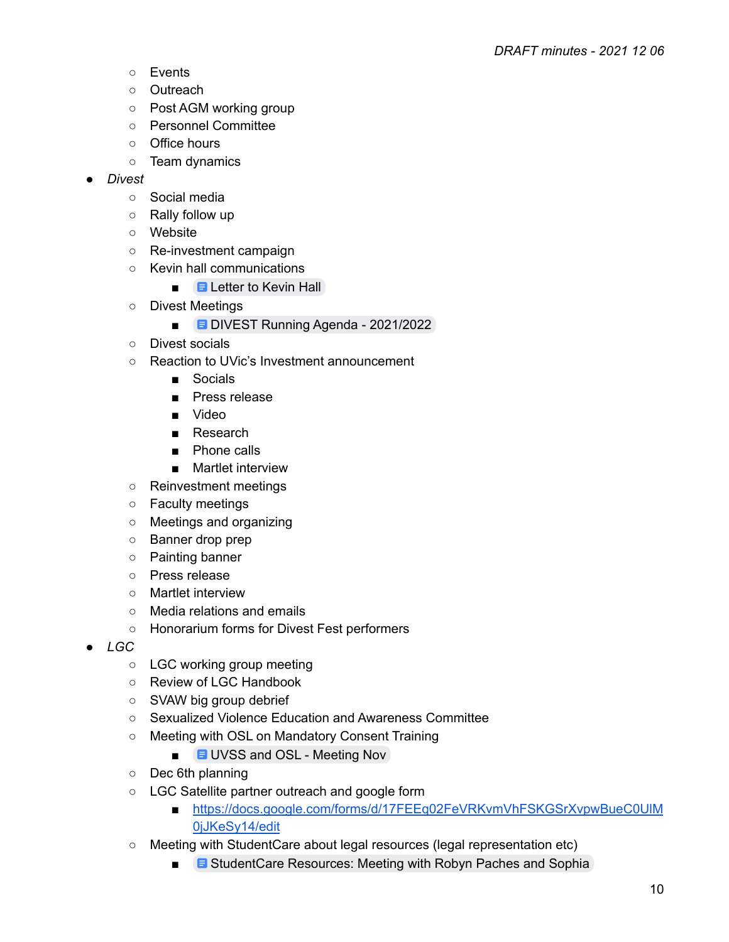- Events
- Outreach
- Post AGM working group
- Personnel Committee
- Office hours
- Team dynamics
- *● Divest*
	- Social media
	- Rally follow up
	- Website
	- Re-investment campaign
	- Kevin hall communications
		- $\blacksquare$   $\blacksquare$  [Letter](https://docs.google.com/document/d/1JnlhO-SUGCZKGPh4qC1R8pyzBLQLX9ezp2n-Tr_6RPM/edit) to Kevin Hall
	- Divest Meetings
		- **DIVEST Running Agenda [2021/2022](https://docs.google.com/document/d/1xwbFOUoGYYSU4gnzw85oSbf1KzXYnYYQlvlyv9v-4gE/edit)**
	- Divest socials
	- Reaction to UVic's Investment announcement
		- Socials
		- Press release
		- Video
		- Research
		- Phone calls
		- Martlet interview
	- Reinvestment meetings
	- Faculty meetings
	- Meetings and organizing
	- Banner drop prep
	- Painting banner
	- Press release
	- Martlet interview
	- Media relations and emails
	- Honorarium forms for Divest Fest performers
- *● LGC*
	- LGC working group meeting
	- Review of LGC Handbook
	- SVAW big group debrief
	- Sexualized Violence Education and Awareness Committee
	- Meeting with OSL on Mandatory Consent Training
		- **UVSS and OSL [Meeting](https://docs.google.com/document/d/1-W8R4VCf5tXYuez4i2INWZy-KeapHQdqUuTY4ScHSKs/edit) Nov**
	- Dec 6th planning
	- LGC Satellite partner outreach and google form
		- https://docs.google.com/forms/d/17FEEq02FeVRKvmVhFSKGSrXvpwBueC0UIM [0jJKeSy14/edit](https://docs.google.com/forms/d/17FEEq02FeVRKvmVhFSKGSrXvpwBueC0UlM0jJKeSy14/edit)
	- Meeting with StudentCare about legal resources (legal representation etc)
		- **B** [StudentCare](https://docs.google.com/document/d/1ZQJBZbQ7RZp0FEvZi88ZjCsCq8D2U8Vo1tXdRtqgXt8/edit) Resources: Meeting with Robyn Paches and Sophia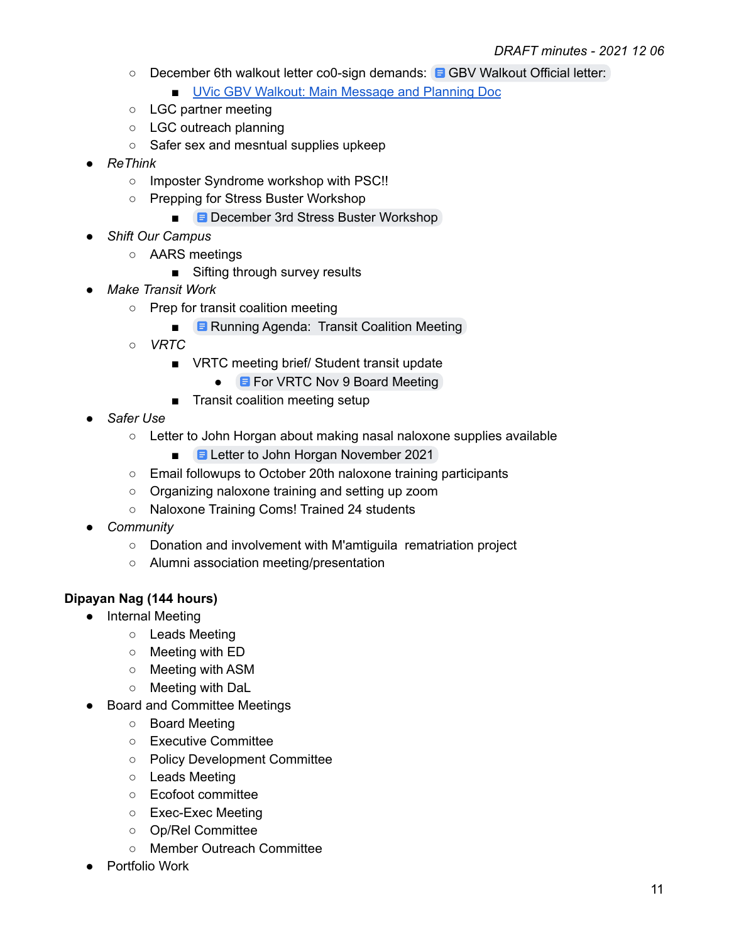- December 6th walkout letter co0-sign demands: **E** GBV [Walkout](https://docs.google.com/document/d/1iO3AobuTYGN1Uuns6TqtCBWwJCueVAUmvTrkmgqL6XA/edit) Official letter:
	- **UVic GBV Walkout: Main [Message](https://docs.google.com/document/d/1EbsyfiBBW_rK_F3bcCGAuPeJXQHrHatAaQFdNcsKiDs/edit) and Planning Doc**
- LGC partner meeting
- LGC outreach planning
- Safer sex and mesntual supplies upkeep
- *● ReThink*
	- Imposter Syndrome workshop with PSC!!
	- Prepping for Stress Buster Workshop
		- **■** [December](https://docs.google.com/document/d/19hMGCx85YBjrpGvO511MavksmUQxUlDux5so7uHXl80/edit) 3rd Stress Buster Workshop
- *● Shift Our Campus*
	- AARS meetings
		- Sifting through survey results
- *● Make Transit Work*
	- Prep for transit coalition meeting
		- **B** Running Agenda: Transit [Coalition](https://docs.google.com/document/d/1Os_m1sGey784W4eXXjGhwmvKl-WJ6at6rnL7bnNZWGU/edit#) Meeting
	- *○ VRTC*
		- VRTC meeting brief/ Student transit update
			- **E** For VRTC Nov 9 Board [Meeting](https://docs.google.com/document/d/1NnbD0iqayxv0GcWrHU18qE1KgLNbfGKL6uW9Gsgi7k4/edit)
		- Transit coalition meeting setup
- *● Safer Use*
	- $\circ$  Letter to John Horgan about making nasal naloxone supplies available
		- **E** Letter to John Horgan [November](https://docs.google.com/document/d/1BMF-m6ko-R45UUjfHMQk_gslkkq2s3XHJez1qDooAtM/edit) 2021
	- Email followups to October 20th naloxone training participants
	- Organizing naloxone training and setting up zoom
	- Naloxone Training Coms! Trained 24 students
- *● Community*
	- Donation and involvement with M'amtiguila rematriation project
	- Alumni association meeting/presentation

## **Dipayan Nag (144 hours)**

- Internal Meeting
	- Leads Meeting
	- Meeting with ED
	- Meeting with ASM
	- Meeting with DaL
- **Board and Committee Meetings** 
	- Board Meeting
	- Executive Committee
	- Policy Development Committee
	- Leads Meeting
	- Ecofoot committee
	- Exec-Exec Meeting
	- Op/Rel Committee
	- Member Outreach Committee
- Portfolio Work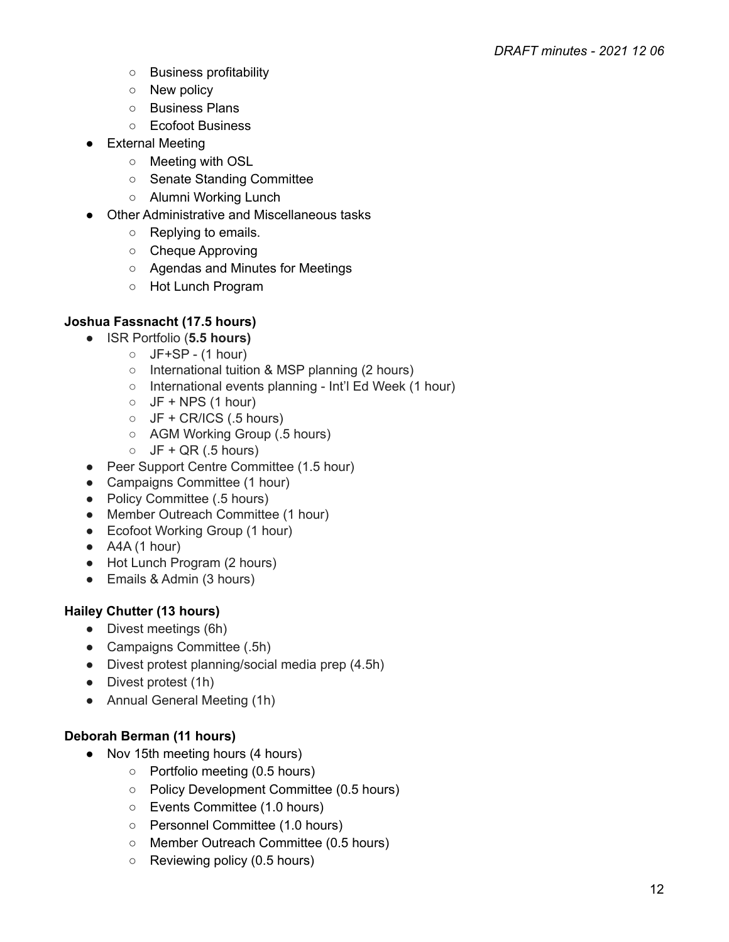- Business profitability
- New policy
- Business Plans
- Ecofoot Business
- External Meeting
	- Meeting with OSL
	- Senate Standing Committee
	- Alumni Working Lunch
- Other Administrative and Miscellaneous tasks
	- Replying to emails.
	- Cheque Approving
	- Agendas and Minutes for Meetings
	- Hot Lunch Program

# **Joshua Fassnacht (17.5 hours)**

- ISR Portfolio (**5.5 hours)**
	- $O$  JF+SP (1 hour)
	- International tuition & MSP planning (2 hours)
	- International events planning Int'l Ed Week (1 hour)
	- $\circ$  JF + NPS (1 hour)
	- $\circ$  JF + CR/ICS (.5 hours)
	- AGM Working Group (.5 hours)
	- $\circ$  JF + QR (.5 hours)
- Peer Support Centre Committee (1.5 hour)
- Campaigns Committee (1 hour)
- Policy Committee (.5 hours)
- Member Outreach Committee (1 hour)
- Ecofoot Working Group (1 hour)
- $\bullet$  A4A (1 hour)
- Hot Lunch Program (2 hours)
- Emails & Admin (3 hours)

# **Hailey Chutter (13 hours)**

- Divest meetings (6h)
- Campaigns Committee (.5h)
- Divest protest planning/social media prep (4.5h)
- Divest protest (1h)
- Annual General Meeting (1h)

# **Deborah Berman (11 hours)**

- Nov 15th meeting hours (4 hours)
	- Portfolio meeting (0.5 hours)
	- Policy Development Committee (0.5 hours)
	- Events Committee (1.0 hours)
	- Personnel Committee (1.0 hours)
	- Member Outreach Committee (0.5 hours)
	- Reviewing policy (0.5 hours)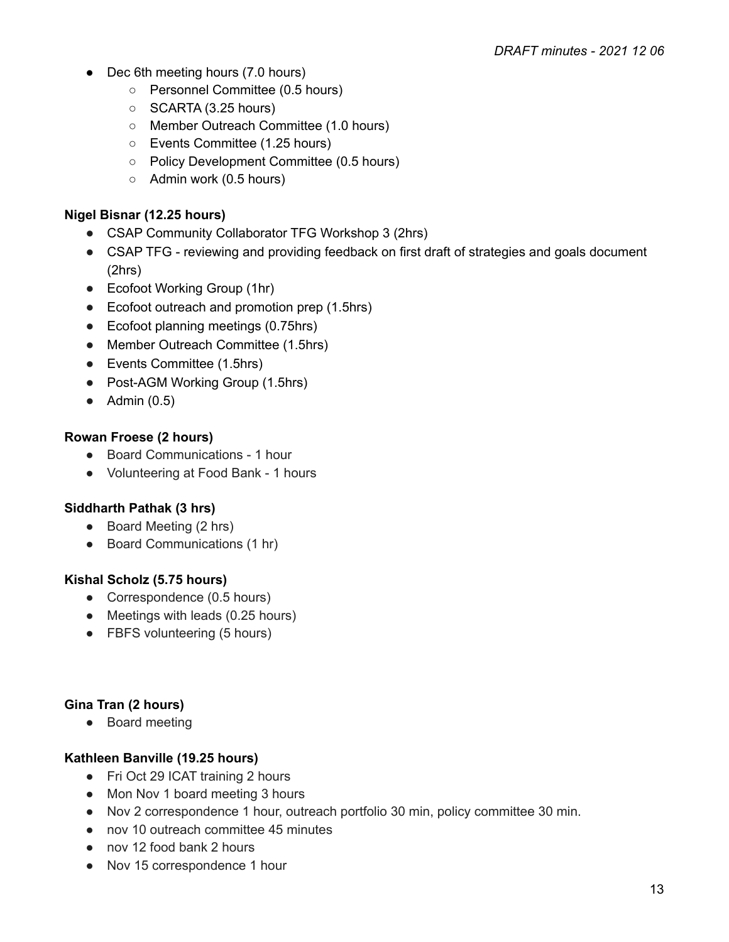- Dec 6th meeting hours (7.0 hours)
	- Personnel Committee (0.5 hours)
	- SCARTA (3.25 hours)
	- Member Outreach Committee (1.0 hours)
	- Events Committee (1.25 hours)
	- Policy Development Committee (0.5 hours)
	- Admin work (0.5 hours)

### **Nigel Bisnar (12.25 hours)**

- CSAP Community Collaborator TFG Workshop 3 (2hrs)
- CSAP TFG reviewing and providing feedback on first draft of strategies and goals document (2hrs)
- Ecofoot Working Group (1hr)
- Ecofoot outreach and promotion prep (1.5hrs)
- Ecofoot planning meetings (0.75hrs)
- Member Outreach Committee (1.5hrs)
- Events Committee (1.5hrs)
- Post-AGM Working Group (1.5hrs)
- $\bullet$  Admin (0.5)

## **Rowan Froese (2 hours)**

- Board Communications 1 hour
- Volunteering at Food Bank 1 hours

## **Siddharth Pathak (3 hrs)**

- Board Meeting (2 hrs)
- Board Communications (1 hr)

## **Kishal Scholz (5.75 hours)**

- Correspondence (0.5 hours)
- Meetings with leads (0.25 hours)
- FBFS volunteering (5 hours)

## **Gina Tran (2 hours)**

● Board meeting

## **Kathleen Banville (19.25 hours)**

- Fri Oct 29 ICAT training 2 hours
- Mon Nov 1 board meeting 3 hours
- Nov 2 correspondence 1 hour, outreach portfolio 30 min, policy committee 30 min.
- nov 10 outreach committee 45 minutes
- nov 12 food bank 2 hours
- Nov 15 correspondence 1 hour